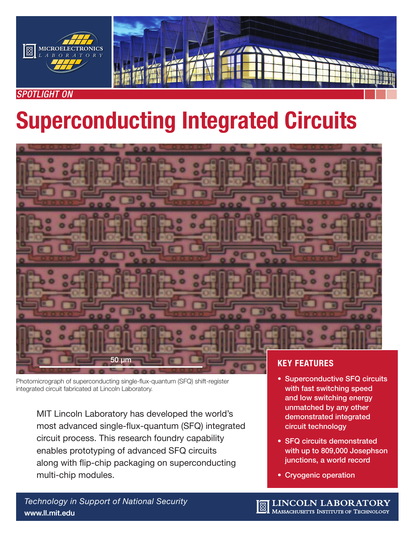



# *SPOTLIGHT ON*

# Superconducting Integrated Circuits



Photomicrograph of superconducting single-flux-quantum (SFQ) shift-register integrated circuit fabricated at Lincoln Laboratory.

MIT Lincoln Laboratory has developed the world's most advanced single-flux-quantum (SFQ) integrated circuit process. This research foundry capability enables prototyping of advanced SFQ circuits along with flip-chip packaging on superconducting multi-chip modules.

- Superconductive SFQ circuits with fast switching speed and low switching energy unmatched by any other demonstrated integrated circuit technology
- SFQ circuits demonstrated with up to 809,000 Josephson junctions, a world record
- Cryogenic operation